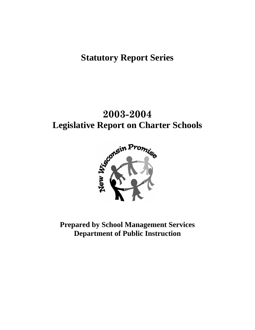# **Statutory Report Series**

# **2003-2004 Legislative Report on Charter Schools**



**Prepared by School Management Services Department of Public Instruction**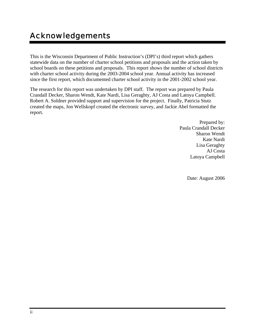This is the Wisconsin Department of Public Instruction's (DPI's) third report which gathers statewide data on the number of charter school petitions and proposals and the action taken by school boards on these petitions and proposals. This report shows the number of school districts with charter school activity during the 2003-2004 school year. Annual activity has increased since the first report, which documented charter school activity in the 2001-2002 school year.

The research for this report was undertaken by DPI staff. The report was prepared by Paula Crandall Decker, Sharon Wendt, Kate Nardi, Lisa Geraghty, AJ Costa and Latoya Campbell. Robert A. Soldner provided support and supervision for the project. Finally, Patricia Stutz created the maps, Jon Wellskopf created the electronic survey, and Jackie Abel formatted the report.

> Prepared by: Paula Crandall Decker Sharon Wendt Kate Nardi Lisa Geraghty AJ Costa Latoya Campbell

> > Date: August 2006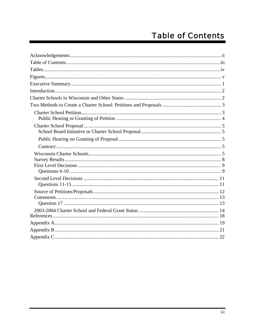# **Table of Contents**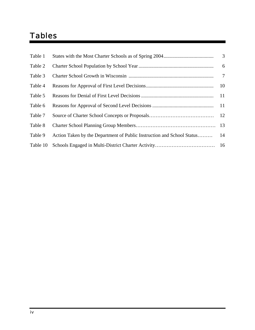# Tables

| Table 1  |                                                                        | 3               |
|----------|------------------------------------------------------------------------|-----------------|
| Table 2  |                                                                        | $6\overline{6}$ |
| Table 3  |                                                                        |                 |
| Table 4  |                                                                        | -10             |
| Table 5  |                                                                        | <b>11</b>       |
| Table 6  |                                                                        |                 |
| Table 7  |                                                                        |                 |
| Table 8  |                                                                        |                 |
| Table 9  | Action Taken by the Department of Public Instruction and School Status | 14              |
| Table 10 |                                                                        |                 |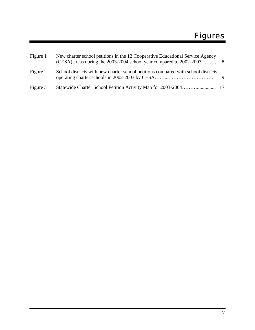| Figure 1 | New charter school petitions in the 12 Cooperative Educational Service Agency     |     |
|----------|-----------------------------------------------------------------------------------|-----|
| Figure 2 | School districts with new charter school petitions compared with school districts | - 9 |
| Figure 3 |                                                                                   |     |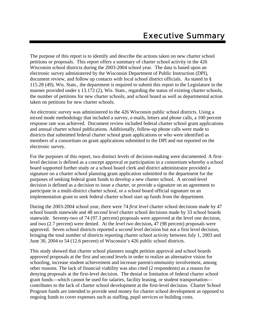The purpose of this report is to identify and describe the actions taken on new charter school petitions or proposals. This report offers a summary of charter school activity in the 426 Wisconsin school districts during the 2003-2004 school year. The data is based upon an electronic survey administered by the Wisconsin Department of Public Instruction (DPI), document review, and follow up contacts with local school district officials. As stated in § 115.28 (49), Wis. Stats., the department is required to submit this report to the Legislature in the manner provided under § 13.172 (2), Wis. Stats., regarding the status of existing charter schools, the number of petitions for new charter schools, and school board as well as departmental action taken on petitions for new charter schools.

An electronic survey was administered to the 426 Wisconsin public school districts. Using a mixed mode methodology that included a survey, e-mails, letters and phone calls, a 100 percent response rate was achieved. Document review included federal charter school grant applications and annual charter school publications. Additionally, follow-up phone calls were made to districts that submitted federal charter school grant applications or who were identified as members of a consortium on grant applications submitted to the DPI and not reported on the electronic survey.

For the purposes of this report, two distinct levels of decision-making were documented. A firstlevel decision is defined as a concept approval or participation in a consortium whereby a school board supported further study or a school board clerk and district administrator provided a signature on a charter school planning grant application submitted to the department for the purposes of seeking federal grant funds to develop a new charter school. A second-level decision is defined as a decision to issue a charter, or provide a signature on an agreement to participate in a multi-district charter school, or a school board official signature on an implementation grant to seek federal charter school start up funds from the department.

During the 2003-2004 school year, there were 74 *first level* charter school decisions made by 47 school boards statewide and 48 *second level* charter school decisions made by 33 school boards statewide. Seventy-two of 74 (97.3 percent) proposals were approved at the level one decision, and two (2.7 percent) were denied. At the *level two* decision**,** 47 (98 percent) proposals were approved. Seven school districts reported a *second level* decision but not a first level decision, bringing the total number of districts reporting charter school activity between July 1, 2003 and June 30, 2004 to 54 (12.6 percent) of Wisconsin's 426 public school districts.

This study showed that charter school planners sought petition approval and school boards approved proposals at the first and second levels in order to realize an alternative vision for schooling, increase student achievement and increase parent/community involvement, among other reasons. The lack of financial viability was also cited (2 respondents) as a reason for denying proposals at the first-level decision. The denial or limitation of federal charter school grant funds—which cannot be used for salaries, facility leasing, or student transportation contributes to the lack of charter school development at the first-level decision. Charter School Program funds are intended to provide seed money for charter school development as opposed to ongoing funds to cover expenses such as staffing, pupil services or building costs.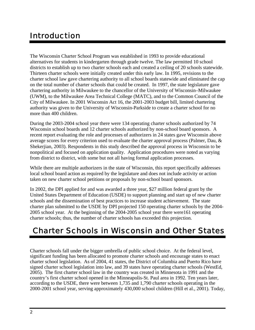## Introduction

The Wisconsin Charter School Program was established in 1993 to provide educational alternatives for students in kindergarten through grade twelve. The law permitted 10 school districts to establish up to two charter schools each and created a ceiling of 20 schools statewide. Thirteen charter schools were initially created under this early law. In 1995, revisions to the charter school law gave chartering authority to all school boards statewide and eliminated the cap on the total number of charter schools that could be created. In 1997, the state legislature gave chartering authority in Milwaukee to the chancellor of the University of Wisconsin–Milwaukee (UWM), to the Milwaukee Area Technical College (MATC), and to the Common Council of the City of Milwaukee. In 2001 Wisconsin Act 16, the 2001-2003 budget bill, limited chartering authority was given to the University of Wisconsin-Parkside to create a charter school for no more than 400 children.

During the 2003-2004 school year there were 134 operating charter schools authorized by 74 Wisconsin school boards and 12 charter schools authorized by non-school board sponsors. A recent report evaluating the role and processes of authorizers in 24 states gave Wisconsin above average scores for every criterion used to evaluate the charter approval process (Palmer, Dau, & Shekerjian, 2003). Respondents in this study described the approval process in Wisconsin to be nonpolitical and focused on application quality. Application procedures were noted as varying from district to district, with some but not all having formal application processes.

While there are multiple authorizers in the state of Wisconsin, this report specifically addresses local school board action as required by the legislature and does not include activity or action taken on new charter school petitions or proposals by non-school board sponsors.

In 2002, the DPI applied for and was awarded a three year, \$27 million federal grant by the United States Department of Education (USDE) to support planning and start up of new charter schools and the dissemination of best practices to increase student achievement. The state charter plan submitted to the USDE by DPI projected 150 operating charter schools by the 2004- 2005 school year. At the beginning of the 2004-2005 school year there were161 operating charter schools; thus, the number of charter schools has exceeded this projection.

## Charter Schools in Wisconsin and Other States

Charter schools fall under the bigger umbrella of public school choice. At the federal level, significant funding has been allocated to promote charter schools and encourage states to enact charter school legislation. As of 2004, 41 states, the District of Columbia and Puerto Rico have signed charter school legislation into law, and 39 states have operating charter schools (WestEd, 2005). The first charter school law in the country was created in Minnesota in 1991 and the country's first charter school opened in the Minneapolis-St. Paul area in 1992. Ten years later, according to the USDE, there were between 1,735 and 1,790 charter schools operating in the 2000-2001 school year, serving approximately 430,000 school children (Hill et al., 2001). Today,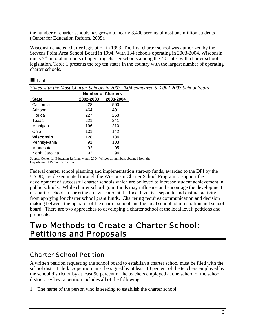the number of charter schools has grown to nearly 3,400 serving almost one million students (Center for Education Reform, 2005).

Wisconsin enacted charter legislation in 1993. The first charter school was authorized by the Stevens Point Area School Board in 1994. With 134 schools operating in 2003-2004, Wisconsin ranks  $7<sup>th</sup>$  in total numbers of operating charter schools among the 40 states with charter school legislation. Table 1 presents the top ten states in the country with the largest number of operating charter schools.

| apie |  |
|------|--|
|------|--|

*States with the Most Charter Schools in 2003-2004 compared to 2002-2003 School Years* 

|                | <b>Number of Charters</b> |           |  |
|----------------|---------------------------|-----------|--|
| <b>State</b>   | 2002-2003                 | 2003-2004 |  |
| California     | 428                       | 500       |  |
| Arizona        | 464                       | 491       |  |
| Florida        | 227                       | 258       |  |
| Texas          | 221                       | 241       |  |
| Michigan       | 196                       | 210       |  |
| Ohio           | 131                       | 142       |  |
| Wisconsin      | 128                       | 134       |  |
| Pennsylvania   | 91                        | 103       |  |
| Minnesota      | 92                        | 95        |  |
| North Carolina | 93                        | 94        |  |

Source: Center for Education Reform, March 2004. Wisconsin numbers obtained from the Department of Public Instruction.

Federal charter school planning and implementation start-up funds, awarded to the DPI by the USDE, are disseminated through the Wisconsin Charter School Program to support the development of successful charter schools which are believed to increase student achievement in public schools. While charter school grant funds may influence and encourage the development of charter schools, chartering a new school at the local level is a separate and distinct activity from applying for charter school grant funds. Chartering requires communication and decision making between the operator of the charter school and the local school administration and school board. There are two approaches to developing a charter school at the local level: petitions and proposals.

## Two Methods to Create a Charter School: Petitions and Proposals

## Charter School Petition

A written petition requesting the school board to establish a charter school must be filed with the school district clerk. A petition must be signed by at least 10 percent of the teachers employed by the school district or by at least 50 percent of the teachers employed at one school of the school district. By law, a petition includes all of the following:

1. The name of the person who is seeking to establish the charter school.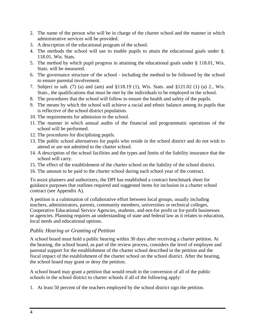- 2. The name of the person who will be in charge of the charter school and the manner in which administrative services will be provided.
- 3. A description of the educational program of the school.
- 4. The methods the school will use to enable pupils to attain the educational goals under §. 118.01, Wis. Stats.
- 5. The method by which pupil progress in attaining the educational goals under § 118.01, Wis. Stats. will be measured.
- 6. The governance structure of the school including the method to be followed by the school to ensure parental involvement.
- 7. Subject to sub. (7) (a) and (am) and §118.19 (1), Wis. Stats. and §121.02 (1) (a) 2., Wis. Stats., the qualifications that must be met by the individuals to be employed in the school.
- 8. The procedures that the school will follow to ensure the health and safety of the pupils.
- 9. The means by which the school will achieve a racial and ethnic balance among its pupils that is reflective of the school district population.
- 10. The requirements for admission to the school.
- 11. The manner in which annual audits of the financial and programmatic operations of the school will be performed.
- 12. The procedures for disciplining pupils.
- 13. The public school alternatives for pupils who reside in the school district and do not wish to attend or are not admitted to the charter school.
- 14. A description of the school facilities and the types and limits of the liability insurance that the school will carry.
- 15. The effect of the establishment of the charter school on the liability of the school district.
- 16. The amount to be paid to the charter school during each school year of the contract.

To assist planners and authorizers, the DPI has established a contract benchmark sheet for guidance purposes that outlines required and suggested items for inclusion in a charter school contract (see Appendix A).

A petition is a culmination of collaborative effort between local groups, usually including teachers, administrators, parents, community members, universities or technical colleges, Cooperative Educational Service Agencies, students, and-not-for profit or for-profit businesses or agencies. Planning requires an understanding of state and federal law as it relates to education, local needs and educational options.

#### *Public Hearing or Granting of Petition*

A school board must hold a public hearing within 30 days after receiving a charter petition. At the hearing, the school board, as part of the review process, considers the level of employee and parental support for the establishment of the charter school described in the petition and the fiscal impact of the establishment of the charter school on the school district. After the hearing, the school board may grant or deny the petition.

A school board may grant a petition that would result in the conversion of all of the public schools in the school district to charter schools if all of the following apply:

1. At least 50 percent of the teachers employed by the school district sign the petition.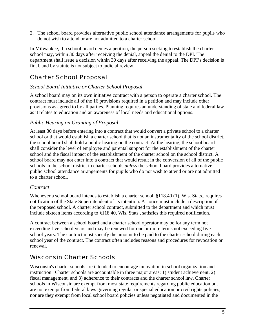2. The school board provides alternative public school attendance arrangements for pupils who do not wish to attend or are not admitted to a charter school.

In Milwaukee, if a school board denies a petition, the person seeking to establish the charter school may, within 30 days after receiving the denial, appeal the denial to the DPI. The department shall issue a decision within 30 days after receiving the appeal. The DPI's decision is final, and by statute is not subject to judicial review.

## Charter School Proposal

#### *School Board Initiative or Charter School Proposal*

A school board may on its own initiative contract with a person to operate a charter school. The contract must include all of the 16 provisions required in a petition and may include other provisions as agreed to by all parties. Planning requires an understanding of state and federal law as it relates to education and an awareness of local needs and educational options.

#### *Public Hearing on Granting of Proposal*

At least 30 days before entering into a contract that would convert a private school to a charter school or that would establish a charter school that is not an instrumentality of the school district, the school board shall hold a public hearing on the contract. At the hearing, the school board shall consider the level of employee and parental support for the establishment of the charter school and the fiscal impact of the establishment of the charter school on the school district. A school board may not enter into a contract that would result in the conversion of all of the public schools in the school district to charter schools *unless* the school board provides alternative public school attendance arrangements for pupils who do not wish to attend or are not admitted to a charter school.

#### *Contract*

Whenever a school board intends to establish a charter school, §118.40 (1), Wis. Stats., requires notification of the State Superintendent of its intention. A notice must include a description of the proposed school. A charter school contract, submitted to the department and which must include sixteen items according to §118.40, Wis. Stats., satisfies this required notification.

A contract between a school board and a charter school operator may be for any term not exceeding five school years and may be renewed for one or more terms not exceeding five school years. The contract must specify the amount to be paid to the charter school during each school year of the contract. The contract often includes reasons and procedures for revocation or renewal.

## Wisconsin Charter Schools

Wisconsin's charter schools are intended to encourage innovation in school organization and instruction. Charter schools are accountable in three major areas: 1) student achievement, 2) fiscal management, and 3) adherence to their contracts and the charter school law. Charter schools in Wisconsin are exempt from most state requirements regarding public education but are not exempt from federal laws governing regular or special education or civil rights policies, nor are they exempt from local school board policies unless negotiated and documented in the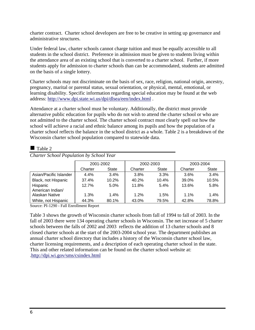charter contract. Charter school developers are free to be creative in setting up governance and administrative structures.

Under federal law, charter schools cannot charge tuition and must be equally accessible to all students in the school district. Preference in admission must be given to students living within the attendance area of an existing school that is converted to a charter school. Further, if more students apply for admission to charter schools than can be accommodated, students are admitted on the basis of a single lottery.

Charter schools may not discriminate on the basis of sex, race, religion, national origin, ancestry, pregnancy, marital or parental status, sexual orientation, or physical, mental, emotional, or learning disability. Specific information regarding special education may be found at the web address: http://www.dpi.state.wi.us/dpi/dlsea/een/index.html .

Attendance at a charter school must be voluntary. Additionally, the district must provide alternative public education for pupils who do not wish to attend the charter school or who are not admitted to the charter school. The charter school contract must clearly spell out how the school will achieve a racial and ethnic balance among its pupils and how the population of a charter school reflects the balance in the school district as a whole. Table 2 is a breakdown of the Wisconsin charter school population compared to statewide data.

#### $\blacksquare$  Table 2

|                        | 2001-2002 |              | 2002-2003 |              | 2003-2004 |              |
|------------------------|-----------|--------------|-----------|--------------|-----------|--------------|
|                        | Charter   | <b>State</b> | Charter   | <b>State</b> | Charter   | <b>State</b> |
| Asian/Pacific Islander | 4.4%      | 3.4%         | 3.8%      | 3.3%         | 3.6%      | 3.4%         |
| Black, not Hispanic    | 37.4%     | 10.2%        | 40.2%     | 10.4%        | 39.0%     | 10.5%        |
| Hispanic               | 12.7%     | 5.0%         | 11.8%     | 5.4%         | 13.6%     | 5.8%         |
| American Indian/       |           |              |           |              |           |              |
| Alaskan Native         | 1.3%      | 1.4%         | 1.2%      | 1.5%         | 1.1%      | 1.4%         |
| White, not Hispanic    | 44.3%     | 80.1%        | 43.0%     | 79.5%        | 42.8%     | 78.8%        |

*Charter School Population by School Year* 

Source: PI-1290 - Fall Enrollment Report

Table 3 shows the growth of Wisconsin charter schools from fall of 1994 to fall of 2003. In the fall of 2003 there were 134 operating charter schools in Wisconsin. The net increase of 5 charter schools between the falls of 2002 and 2003 reflects the addition of 13 charter schools and 8 closed charter schools at the start of the 2003-2004 school year. The department publishes an annual charter school directory that includes a history of the Wisconsin charter school law, charter licensing requirements, and a description of each operating charter school in the state. This and other related information can be found on the charter school website at: .http://dpi.wi.gov/sms/csindex.html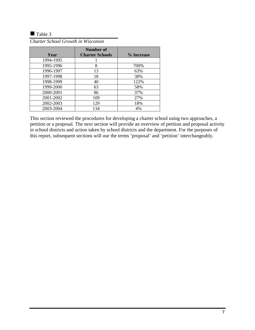Table 3

| Year      | Number of<br><b>Charter Schools</b> | % Increase |
|-----------|-------------------------------------|------------|
| 1994-1995 |                                     |            |
| 1995-1996 | 8                                   | 700%       |
| 1996-1997 | 13                                  | 63%        |
| 1997-1998 | 18                                  | 38%        |
| 1998-1999 | 40                                  | 122%       |
| 1999-2000 | 63                                  | 58%        |
| 2000-2001 | 86                                  | 37%        |
| 2001-2002 | 109                                 | 27%        |
| 2002-2003 | 129                                 | 18%        |
| 2003-2004 | 134                                 | 4%         |

*Charter School Growth in Wisconsin* 

This section reviewed the procedures for developing a charter school using two approaches, a petition or a proposal. The next section will provide an overview of petition and proposal activity in school districts and action taken by school districts and the department. For the purposes of this report, subsequent sections will use the terms 'proposal' and 'petition' interchangeably.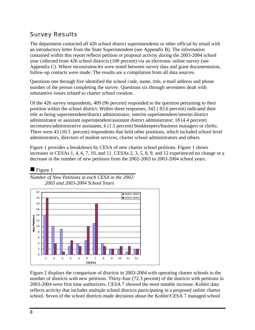## Survey Results

The department contacted all 426 school district superintendents or other official by email with an introductory letter from the State Superintendent (see Appendix B). The information contained within this report reflects petition or proposal activity during the 2003-2004 school year collected from 426 school districts (100 percent) via an electronic online survey (see Appendix C). Where inconsistencies were noted between survey data and grant documentation, follow-up contacts were made. The results are a compilation from all data sources.

Questions one through five identified the school code, name, title, e-mail address and phone number of the person completing the survey. Questions six through seventeen dealt with substantive issues related to charter school creation.

Of the 426 survey respondents, 409 (96 percent) responded to the question pertaining to their position within the school district. Within these responses, 342 ( 83.6 percent) indicated their title as being superintendent/district administrator, interim superintendent/interim district administrator or assistant superintendent/assistant district administrator; 18 (4.4 percent) secretaries/administrative assistants, 6 (1.5 percent) bookkeepers/business managers or clerks. There were 43 (10.5 percent) respondents that held other positions, which included school level administrators, directors of student services, charter school administrators and others.

Figure 1 provides a breakdown by CESA of new charter school petitions. Figure 1 shows increases in CESAs 1, 4, 6, 7, 10, and 11. CESAs 2, 3, 5, 8, 9, and 12 experienced no change or a decrease in the number of new petitions from the 2002-2003 to 2003-2004 school years.



Figure 2 displays the comparison of districts in 2003-2004 with operating charter schools to the number of districts with new petitions. Thirty-four (72.3 percent) of the districts with petitions in 2003-2004 were first time authorizers. CESA 7 showed the most notable increase. Kohler data reflects activity that includes multiple school districts participating in a proposed online charter school. Seven of the school districts made decisions about the Kohler/CESA 7 managed school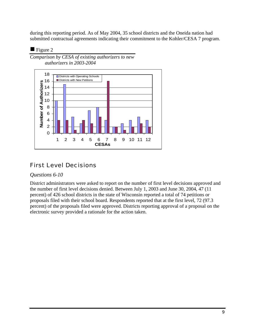during this reporting period. As of May 2004, 35 school districts and the Oneida nation had submitted contractual agreements indicating their commitment to the Kohler/CESA 7 program.

#### $\blacksquare$  Figure 2





## First Level Decisions

#### *Questions 6-10*

District administrators were asked to report on the number of first level decisions approved and the number of first level decisions denied. Between July 1, 2003 and June 30, 2004, 47 (11 percent) of 426 school districts in the state of Wisconsin reported a total of 74 petitions or proposals filed with their school board. Respondents reported that at the first level, 72 (97.3 percent) of the proposals filed were approved. Districts reporting approval of a proposal on the electronic survey provided a rationale for the action taken.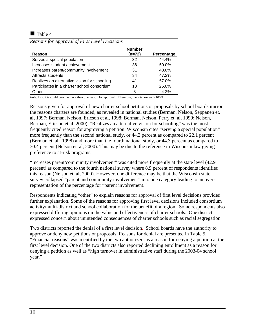#### $\blacksquare$  Table 4

|                                              | <b>Number</b> |            |
|----------------------------------------------|---------------|------------|
| Reason                                       | (n=72)        | Percentage |
| Serves a special population                  | 32            | 44.4%      |
| Increases student achievement                | 36            | 50.0%      |
| Increases parent/community involvement       | 31            | 43.0%      |
| Attracts students                            | 34            | 47.2%      |
| Realizes an alternative vision for schooling | 41            | 57.0%      |
| Participates in a charter school consortium  | 18            | 25.0%      |
| Other                                        | 3             | 4.2%       |

*Reasons for Approval of First Level Decisions* 

*Note:* Districts could provide more than one reason for approval. Therefore, the total exceeds 100%.

Reasons given for approval of new charter school petitions or proposals by school boards mirror the reasons charters are founded, as revealed in national studies (Berman, Nelson, Seppanen et. al, 1997; Berman, Nelson, Ericson et al, 1998; Berman, Nelson, Perry et. al, 1999; Nelson, Berman, Ericson et al, 2000). "Realizes an alternative vision for schooling" was the most frequently cited reason for approving a petition. Wisconsin cites "serving a special population" more frequently than the second national study, or 44.3 percent as compared to 22.1 percent (Berman et. al, 1998) and more than the fourth national study, or 44.3 percent as compared to 30.4 percent (Nelson et. al, 2000). This may be due to the reference in Wisconsin law giving preference to at-risk programs.

"Increases parent/community involvement" was cited more frequently at the state level (42.9 percent) as compared to the fourth national survey where 8.9 percent of respondents identified this reason (Nelson et. al, 2000). However, one difference may be that the Wisconsin state survey collapsed "parent and community involvement" into one category leading to an overrepresentation of the percentage for "parent involvement."

Respondents indicating "other" to explain reasons for approval of first level decisions provided further explanation. Some of the reasons for approving first level decisions included consortium activity/multi-district and school collaboration for the benefit of a region. Some respondents also expressed differing opinions on the value and effectiveness of charter schools. One district expressed concern about unintended consequences of charter schools such as racial segregation.

Two districts reported the denial of a first level decision. School boards have the authority to approve or deny new petitions or proposals. Reasons for denial are presented in Table 5. "Financial reasons" was identified by the two authorizers as a reason for denying a petition at the first level decision. One of the two districts also reported declining enrollment as a reason for denying a petition as well as "high turnover in administrative staff during the 2003-04 school year."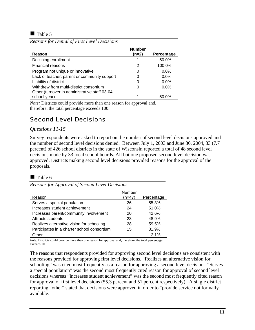$\blacksquare$  Table 5

|                                               | <b>Number</b> |            |
|-----------------------------------------------|---------------|------------|
| Reason                                        | (n=2)         | Percentage |
| Declining enrollment                          |               | 50.0%      |
| Financial reasons                             | 2             | 100.0%     |
| Program not unique or innovative              | 0             | $0.0\%$    |
| Lack of teacher, parent or community support  | 0             | $0.0\%$    |
| Liability of district                         | 0             | $0.0\%$    |
| Withdrew from multi-district consortium       | 0             | $0.0\%$    |
| Other (turnover in administrative staff 03-04 |               |            |
| school year)                                  |               | 50.0%      |

*Reasons for Denial of First Level Decisions* 

*Note:* Districts could provide more than one reason for approval and, therefore, the total percentage exceeds 100.

## Second Level Decisions

#### *Questions 11-15*

Survey respondents were asked to report on the number of second level decisions approved and the number of second level decisions denied. Between July 1, 2003 and June 30, 2004, 33 (7.7 percent) of 426 school districts in the state of Wisconsin reported a total of 48 second level decisions made by 33 local school boards. All but one proposed second level decision was approved. Districts making second level decisions provided reasons for the approval of the proposals.

#### $\blacksquare$  Table 6

*Reasons for Approval of Second Level Decisions* 

|                                             | Number |            |
|---------------------------------------------|--------|------------|
| Reason                                      | (n=47) | Percentage |
| Serves a special population                 | 26     | 55.3%      |
| Increases student achievement               | 24     | 51.0%      |
| Increases parent/community involvement      | 20     | 42.6%      |
| Attracts students                           | 23     | 48.9%      |
| Realizes alternative vision for schooling   | 28     | 59.5%      |
| Participates in a charter school consortium | 15     | 31.9%      |
| Other                                       |        | 2.1%       |

*Note:* Districts could provide more than one reason for approval and, therefore, the total percentage exceeds 100.

The reasons that respondents provided for approving second level decisions are consistent with the reasons provided for approving first level decisions. "Realizes an alternative vision for schooling" was cited most frequently as a reason for approving a second level decision. "Serves a special population" was the second most frequently cited reason for approval of second level decisions whereas "increases student achievement" was the second most frequently cited reason for approval of first level decisions (55.3 percent and 51 percent respectively). A single district reporting "other" stated that decisions were approved in order to "provide service not formally available.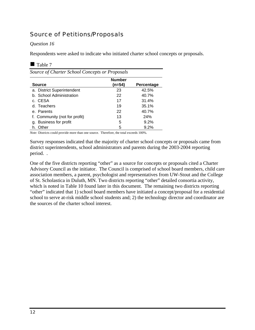## Source of Petitions/Proposals

#### *Question 16*

Respondents were asked to indicate who initiated charter school concepts or proposals.

#### Table 7

| Source of Charter School Concepts or Proposals<br><b>Number</b> |        |                   |  |  |
|-----------------------------------------------------------------|--------|-------------------|--|--|
| <b>Source</b>                                                   | (n=54) | <b>Percentage</b> |  |  |
| a. District Superintendent                                      | 23     | 42.5%             |  |  |
| b. School Administration                                        | 22     | 40.7%             |  |  |
| c. CESA                                                         | 17     | 31.4%             |  |  |
| d. Teachers                                                     | 19     | 35.1%             |  |  |
| e. Parents                                                      | 22     | 40.7%             |  |  |
| f. Community (not for profit)                                   | 13     | 24%               |  |  |
| g. Business for profit                                          | 5      | 9.2%              |  |  |
| Other<br>h.                                                     | 5      | 9.2%              |  |  |

*Note:* Districts could provide more than one source. Therefore, the total exceeds 100%.

Survey responses indicated that the majority of charter school concepts or proposals came from district superintendents, school administrators and parents during the 2003-2004 reporting period. .

One of the five districts reporting "other" as a source for concepts or proposals cited a Charter Advisory Council as the initiator. The Council is comprised of school board members, child care association members, a parent, psychologist and representatives from UW-Stout and the College of St. Scholastica in Duluth, MN. Two districts reporting "other" detailed consortia activity, which is noted in Table 10 found later in this document. The remaining two districts reporting "other" indicated that 1) school board members have initiated a concept/proposal for a residential school to serve at-risk middle school students and; 2) the technology director and coordinator are the sources of the charter school interest.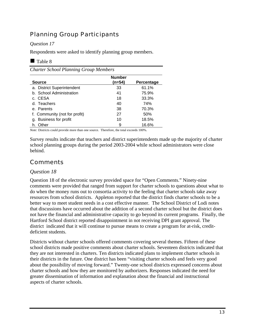## Planning Group Participants

#### *Question 17*

Respondents were asked to identify planning group members.

#### $\blacksquare$  Table 8

*Charter School Planning Group Members* 

|                               | <b>Number</b> |            |
|-------------------------------|---------------|------------|
| <b>Source</b>                 | (n=54)        | Percentage |
| a. District Superintendent    | 33            | 61.1%      |
| b. School Administration      | 41            | 75.9%      |
| c. CESA                       | 18            | 33.3%      |
| d. Teachers                   | 40            | 74%        |
| e. Parents                    | 38            | 70.3%      |
| f. Community (not for profit) | 27            | 50%        |
| g. Business for profit        | 10            | 18.5%      |
| Other<br>h.                   | 9             | 16.6%      |

*Note:* Districts could provide more than one source. Therefore, the total exceeds 100%.

Survey results indicate that teachers and district superintendents made up the majority of charter school planning groups during the period 2003-2004 while school administrators were close behind.

## Comments

#### *Question 18*

Question 18 of the electronic survey provided space for "Open Comments." Ninety-nine comments were provided that ranged from support for charter schools to questions about what to do when the money runs out to consortia activity to the feeling that charter schools take away resources from school districts. Appleton reported that the district finds charter schools to be a better way to meet student needs in a cost effective manner. The School District of Lodi notes that discussions have occurred about the addition of a second charter school but the district does not have the financial and administrative capacity to go beyond its current programs. Finally, the Hartford School district reported disappointment in not receiving DPI grant approval. The district indicated that it will continue to pursue means to create a program for at-risk, creditdeficient students.

Districts without charter schools offered comments covering several themes. Fifteen of these school districts made positive comments about charter schools. Seventeen districts indicated that they are not interested in charters. Ten districts indicated plans to implement charter schools in their districts in the future. One district has been "visiting charter schools and feels very good about the possibility of moving forward." Twenty-one school districts expressed concerns about charter schools and how they are monitored by authorizers. Responses indicated the need for greater dissemination of information and explanation about the financial and instructional aspects of charter schools.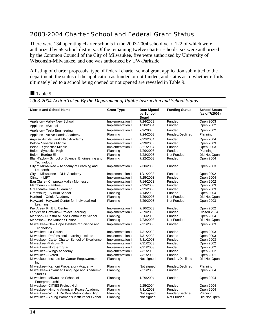### 2003-2004 Charter School and Federal Grant Status

There were 134 operating charter schools in the 2003-2004 school year, 122 of which were authorized by 69 school districts. Of the remaining twelve charter schools, six were authorized by the Common Council of the City of Milwaukee, five were authorized by University of Wisconsin-Milwaukee, and one was authorized by UW-Parkside.

A listing of charter proposals, type of federal charter school grant application submitted to the department, the status of the application as funded or not funded, and status as to whether efforts ultimately led to a school being opened or not opened are revealed in Table 9.

#### Table 9

| <b>District and School Name</b>                                | <b>Grant Type</b> | <b>Date Signed</b>        | <b>Funding Status</b> | <b>School Status</b> |
|----------------------------------------------------------------|-------------------|---------------------------|-----------------------|----------------------|
|                                                                |                   | by School<br><b>Board</b> |                       | (as of 7/2005)       |
| Appleton- Valley New School                                    | Implementation I  | 7/24/2003                 | Funded                | Open 2003            |
| Appleton-eSchool                                               | Implementation II | 1/30/2004                 | Funded                | Open 2002            |
| Appleton-Tesla Engineering                                     | Implementation II | 7/9/2003                  | Funded                | Open 2002            |
| Appleton- Active Hands Academy                                 | Planning          | 7/24/2003                 | Funded/Declined       | Planning             |
| Argyle- Argyle Land Ethic Academy                              | Implementation I  | 7/22/2004                 | Funded                | Open 2004            |
| <b>Beloit-Synectics Middle</b>                                 | Implementation I  | 7/29/2003                 | Funded                | Open 2003            |
| Beloit - Synectics Middle                                      | Implementation II | 3/21/2004                 | Funded                | Open 2003            |
| Beloit-Synectics High                                          | Planning          | 7/29/2003                 | Funded                | Planning             |
| Beloit-Burdge El                                               | Planning          | 7/28/2003                 | Not Funded            | Did Not Open         |
| Blair-Taylor- School of Science, Engineering and<br>Technology | Planning          | 7/22/2003                 | Funded                | Open 2004            |
| City of Milwaukee - Academy of Learning and<br>Leadership      | Implementation I  | 7/30/2003                 | Funded                | Open 2003            |
| City of Milwaukee - DLH Academy                                | Implementation II | 12/1/2003                 | Funded                | Open 2002            |
| Clinton - LIFT                                                 | Implementation I  | 7/25/2003                 | Funded                | Open 2004            |
| Eau Claire- Chippewa Valley Montessori                         | Implementation II | 7/14/2003                 | Funded                | Open 2002            |
| Flambeau - Flambeau                                            | Implementation I  | 7/23/2003                 | Funded                | Open 2003            |
| Greendale-Time 4 Learning                                      | Implementation I  | 7/22/2003                 | Funded                | Open 2003            |
| Grantsburg - Virtual School                                    | Planning          | 7/14/2003                 | Funded                | Open 2004            |
| Hartford – Oriole Academy                                      | Planning          | 7/29/2003                 | Not Funded            | Did Not Open         |
| Hayward-Hayward Center for Individualized<br>Learning          | Planning          | 7/29/2003                 | Not Funded            | Open 2003            |
| Kiel Area- K.I.E.L. Center                                     | Implementation II | 7/10/2003                 | Funded                | Open 2002            |
| Ladysmith Hawkins- Project Learning!                           | Implementation II | 7/29/2003                 | Funded                | Closed 2004          |
| Madison-Nuestro Mundo Community School                         | Planning          | 6/26/2003                 | Funded                | Open 2004            |
| Menasha- Dos Mundos Unidos                                     | Planning          | 7/23/2003                 | Not Funded            | Did Not Open         |
| Milwaukee– New Hope Institute of Science and<br>Technology     | Implementation I  | 7/31/2003                 | Funded                | Open 2003            |
| Milwaukee- La Causa                                            | Implementation I  | 7/31/2003                 | Funded                | Open 2003            |
| Milwaukee- Professional Learning Institute                     | Implementation I  | 7/31/2003                 | Funded                | Open 2003            |
| Milwaukee- Carter Charter School of Excellence                 | Implementation I  | 7/31/2003                 | Funded                | Open 2003            |
| Milwaukee -Malcolm X                                           | Implementation II | 7/31/2003                 | Funded                | Open 2002            |
| Milwaukee- Northern Star                                       | Implementation II | 7/31/2003                 | Funded                | Open 2002            |
| Milwaukee- Wings Academy                                       | Implementation II | 7/31/2003                 | Funded                | Open 2002            |
| Milwaukee-Siefert                                              | Implementation II | 7/31/2003                 | Funded                | Open 2001            |
| Milwaukee-Institute for Career Empowerment,<br>Inc.            | Planning          | Not signed                | Funded/Declined       | Did Not Open         |
| Milwaukee- Kamoni Preparatory Academy                          | Planning          | Not signed                | Funded/Declined       | Planning             |
| Milwaukee- Advanced Language and Academic<br><b>Studies</b>    | Planning          | 7/31/2003                 | Funded                | Open 2004            |
| Milwaukee- Milwaukee School of<br>Enterpreneurship             | Planning          | 1/29/2004                 | Funded                | Open 2004            |
| Milwaukee- CITIES Project High                                 | Planning          | 2/25/2004                 | Funded                | Open 2004            |
| Milwaukee-Hmong American Peace Academy                         | Planning          | 7/31/2003                 | Funded                | Open 2004            |
| Milwaukee- W.E.B. Du Bois Metropolitan High                    | Planning          | Not signed                | Funded/Declined       | Planning             |
| Milwaukee- Young Women's Institute for Global                  | Planning          | Not signed                | Not Funded            | Did Not Open         |

*2003-2004 Action Taken By the Department of Public Instruction and School Status*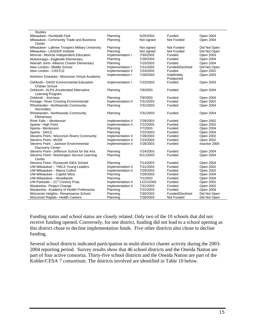| Funded<br>Open 2004<br>Milwaukee-Humboldt Park<br>Planning<br>5/25/2004<br>Not Funded<br>Milwaukee- Community Trade and Business<br>Not signed<br>Open 2004<br>Planning<br>Center<br>Milwaukee- LaBrew Troopers Military University<br>Planning<br>Not Funded<br>Did Not Open<br>Not signed<br>Milwaukee- LEADER Institute<br>Not signed<br>Not Funded<br>Did Not Open<br>Planning<br>7/30/2003<br>Open 2003<br>Monroe-Monroe Independent Education<br>Implementation I<br>Funded<br>7/28/2003<br>Planning<br>Open 2004<br>Mukwonago- Eagleville Elementary<br>Funded<br>Neenah Joint- Alliance Charter Elementary<br>Planning<br>7/15/2003<br>Open 2004<br>Funded<br>Did Not Open<br>New London- Middle School<br>Implementation I<br>7/31/2003<br>Funded/Declined<br>7/24/2003<br>Open 2002<br>New London - CASTLE<br>Implementation II<br>Funded<br>Open 2003<br>Implementation I<br>7/28/2003<br>Indefinitely<br>Northern Ozaukee- Wisconsin Virtual Academy<br>Postponed<br>Oshkosh-OASD Environmental Education<br>Funded<br>7/23/2003<br>Open 2003<br>Implementation I<br><b>Charter School</b><br>Oshkosh- ALPS Accelerated Alternative<br>Funded<br>Planning<br>7/9/2003<br>Open 2004<br>Learning Program<br>7/9/2003<br>Funded<br>Open 2004<br>Oshkosh - Journeys<br>Planning<br>Portage- River Crossing Environmental<br>Funded<br>Open 2002<br>Implementation II<br>7/31/2003<br>7/31/2003<br>Open 2004<br>Rhinelander- Northwoods Community<br>Planning<br>Funded<br>Secondary<br>Rhinelander- Northwoods Community<br>Planning<br>7/31/2003<br>Funded<br>Open 2004<br>Elementary<br>River Falls - Montessori<br>Implementation II<br>7/29/2003<br>Funded<br>Open 2002<br>Open 2002<br>Sparta-High Point<br>Implementation II<br>7/22/2003<br>Funded<br>7/7/2003<br>Open 2004<br>Sparta-Montessori<br>Planning<br>Funded<br>Sparta - SAILS<br>Planning<br>7/22/2003<br>Funded<br>Open 2004<br>Stevens Point- Wisconsin Rivers Community<br>Implementation II<br>7/28/2003<br>Open 2002<br>Funded<br>Implementation II<br>7/23/2003<br>Open 2002<br>Stevens Point-McDill<br>Funded<br>Stevens Point - Jackson Environmental<br>Implementation II<br>7/28/2003<br>Funded<br>Inactive 2005<br><b>Discovery Center</b><br>Stevens Point- Jefferson School for the Arts<br>7/14/2003<br>Planning<br>Funded<br>Open 2004<br>Open 2004<br>Stevens Point- Washington Service Learning<br>Planning<br>6/11/2003<br>Funded<br>Center<br>Stevens Point- Roosevelt IDEA School<br>Planning<br>7/14/2003<br>Funded<br>Open 2004<br>UW-Milwaukee - YMCA Young Leaders<br>Implementation II<br>7/31/2003<br>Funded<br>Open 2002<br>UW-Milwaukee - Marva Collins<br>Implementation II<br>7/29/2003<br>Funded<br>Open 2002<br>UW-Milwaukee - Capitol West<br>Planning<br>7/29/2003<br>Open 2004<br>Funded<br>UW-Milwaukee - Woodlands<br>7/1/2003<br>Open 2004<br>Planning<br>Funded<br>UW-Parkside $-21st$ Century Prep.<br>11/21/2003<br>Implementation II<br>Open 2002<br>Funded<br>Waukesha- Project Change<br>Implementation II<br>7/31/2003<br>Open 2002<br>Funded<br>Waukesha- Academy of Health Professions<br>Open 2004<br>Planning<br>7/22/2003<br>Funded<br>Wisconsin Heights- Renaissance School<br>Planning<br>7/30/2003<br>Funded/Declined<br>Did Not Open<br>7/28/2003<br>Not Funded<br>Wisconsin Rapids-Health Careers<br>Planning<br>Did Not Open | <b>Studies</b> |  |  |
|----------------------------------------------------------------------------------------------------------------------------------------------------------------------------------------------------------------------------------------------------------------------------------------------------------------------------------------------------------------------------------------------------------------------------------------------------------------------------------------------------------------------------------------------------------------------------------------------------------------------------------------------------------------------------------------------------------------------------------------------------------------------------------------------------------------------------------------------------------------------------------------------------------------------------------------------------------------------------------------------------------------------------------------------------------------------------------------------------------------------------------------------------------------------------------------------------------------------------------------------------------------------------------------------------------------------------------------------------------------------------------------------------------------------------------------------------------------------------------------------------------------------------------------------------------------------------------------------------------------------------------------------------------------------------------------------------------------------------------------------------------------------------------------------------------------------------------------------------------------------------------------------------------------------------------------------------------------------------------------------------------------------------------------------------------------------------------------------------------------------------------------------------------------------------------------------------------------------------------------------------------------------------------------------------------------------------------------------------------------------------------------------------------------------------------------------------------------------------------------------------------------------------------------------------------------------------------------------------------------------------------------------------------------------------------------------------------------------------------------------------------------------------------------------------------------------------------------------------------------------------------------------------------------------------------------------------------------------------------------------------------------------------------------------------------------------------------------------------------------------------------------------------------------------------------------------------------------------------------------------------------------------------------------------------------------------------------------------------------------|----------------|--|--|
|                                                                                                                                                                                                                                                                                                                                                                                                                                                                                                                                                                                                                                                                                                                                                                                                                                                                                                                                                                                                                                                                                                                                                                                                                                                                                                                                                                                                                                                                                                                                                                                                                                                                                                                                                                                                                                                                                                                                                                                                                                                                                                                                                                                                                                                                                                                                                                                                                                                                                                                                                                                                                                                                                                                                                                                                                                                                                                                                                                                                                                                                                                                                                                                                                                                                                                                                                                |                |  |  |
|                                                                                                                                                                                                                                                                                                                                                                                                                                                                                                                                                                                                                                                                                                                                                                                                                                                                                                                                                                                                                                                                                                                                                                                                                                                                                                                                                                                                                                                                                                                                                                                                                                                                                                                                                                                                                                                                                                                                                                                                                                                                                                                                                                                                                                                                                                                                                                                                                                                                                                                                                                                                                                                                                                                                                                                                                                                                                                                                                                                                                                                                                                                                                                                                                                                                                                                                                                |                |  |  |
|                                                                                                                                                                                                                                                                                                                                                                                                                                                                                                                                                                                                                                                                                                                                                                                                                                                                                                                                                                                                                                                                                                                                                                                                                                                                                                                                                                                                                                                                                                                                                                                                                                                                                                                                                                                                                                                                                                                                                                                                                                                                                                                                                                                                                                                                                                                                                                                                                                                                                                                                                                                                                                                                                                                                                                                                                                                                                                                                                                                                                                                                                                                                                                                                                                                                                                                                                                |                |  |  |
|                                                                                                                                                                                                                                                                                                                                                                                                                                                                                                                                                                                                                                                                                                                                                                                                                                                                                                                                                                                                                                                                                                                                                                                                                                                                                                                                                                                                                                                                                                                                                                                                                                                                                                                                                                                                                                                                                                                                                                                                                                                                                                                                                                                                                                                                                                                                                                                                                                                                                                                                                                                                                                                                                                                                                                                                                                                                                                                                                                                                                                                                                                                                                                                                                                                                                                                                                                |                |  |  |
|                                                                                                                                                                                                                                                                                                                                                                                                                                                                                                                                                                                                                                                                                                                                                                                                                                                                                                                                                                                                                                                                                                                                                                                                                                                                                                                                                                                                                                                                                                                                                                                                                                                                                                                                                                                                                                                                                                                                                                                                                                                                                                                                                                                                                                                                                                                                                                                                                                                                                                                                                                                                                                                                                                                                                                                                                                                                                                                                                                                                                                                                                                                                                                                                                                                                                                                                                                |                |  |  |
|                                                                                                                                                                                                                                                                                                                                                                                                                                                                                                                                                                                                                                                                                                                                                                                                                                                                                                                                                                                                                                                                                                                                                                                                                                                                                                                                                                                                                                                                                                                                                                                                                                                                                                                                                                                                                                                                                                                                                                                                                                                                                                                                                                                                                                                                                                                                                                                                                                                                                                                                                                                                                                                                                                                                                                                                                                                                                                                                                                                                                                                                                                                                                                                                                                                                                                                                                                |                |  |  |
|                                                                                                                                                                                                                                                                                                                                                                                                                                                                                                                                                                                                                                                                                                                                                                                                                                                                                                                                                                                                                                                                                                                                                                                                                                                                                                                                                                                                                                                                                                                                                                                                                                                                                                                                                                                                                                                                                                                                                                                                                                                                                                                                                                                                                                                                                                                                                                                                                                                                                                                                                                                                                                                                                                                                                                                                                                                                                                                                                                                                                                                                                                                                                                                                                                                                                                                                                                |                |  |  |
|                                                                                                                                                                                                                                                                                                                                                                                                                                                                                                                                                                                                                                                                                                                                                                                                                                                                                                                                                                                                                                                                                                                                                                                                                                                                                                                                                                                                                                                                                                                                                                                                                                                                                                                                                                                                                                                                                                                                                                                                                                                                                                                                                                                                                                                                                                                                                                                                                                                                                                                                                                                                                                                                                                                                                                                                                                                                                                                                                                                                                                                                                                                                                                                                                                                                                                                                                                |                |  |  |
|                                                                                                                                                                                                                                                                                                                                                                                                                                                                                                                                                                                                                                                                                                                                                                                                                                                                                                                                                                                                                                                                                                                                                                                                                                                                                                                                                                                                                                                                                                                                                                                                                                                                                                                                                                                                                                                                                                                                                                                                                                                                                                                                                                                                                                                                                                                                                                                                                                                                                                                                                                                                                                                                                                                                                                                                                                                                                                                                                                                                                                                                                                                                                                                                                                                                                                                                                                |                |  |  |
|                                                                                                                                                                                                                                                                                                                                                                                                                                                                                                                                                                                                                                                                                                                                                                                                                                                                                                                                                                                                                                                                                                                                                                                                                                                                                                                                                                                                                                                                                                                                                                                                                                                                                                                                                                                                                                                                                                                                                                                                                                                                                                                                                                                                                                                                                                                                                                                                                                                                                                                                                                                                                                                                                                                                                                                                                                                                                                                                                                                                                                                                                                                                                                                                                                                                                                                                                                |                |  |  |
|                                                                                                                                                                                                                                                                                                                                                                                                                                                                                                                                                                                                                                                                                                                                                                                                                                                                                                                                                                                                                                                                                                                                                                                                                                                                                                                                                                                                                                                                                                                                                                                                                                                                                                                                                                                                                                                                                                                                                                                                                                                                                                                                                                                                                                                                                                                                                                                                                                                                                                                                                                                                                                                                                                                                                                                                                                                                                                                                                                                                                                                                                                                                                                                                                                                                                                                                                                |                |  |  |
|                                                                                                                                                                                                                                                                                                                                                                                                                                                                                                                                                                                                                                                                                                                                                                                                                                                                                                                                                                                                                                                                                                                                                                                                                                                                                                                                                                                                                                                                                                                                                                                                                                                                                                                                                                                                                                                                                                                                                                                                                                                                                                                                                                                                                                                                                                                                                                                                                                                                                                                                                                                                                                                                                                                                                                                                                                                                                                                                                                                                                                                                                                                                                                                                                                                                                                                                                                |                |  |  |
|                                                                                                                                                                                                                                                                                                                                                                                                                                                                                                                                                                                                                                                                                                                                                                                                                                                                                                                                                                                                                                                                                                                                                                                                                                                                                                                                                                                                                                                                                                                                                                                                                                                                                                                                                                                                                                                                                                                                                                                                                                                                                                                                                                                                                                                                                                                                                                                                                                                                                                                                                                                                                                                                                                                                                                                                                                                                                                                                                                                                                                                                                                                                                                                                                                                                                                                                                                |                |  |  |
|                                                                                                                                                                                                                                                                                                                                                                                                                                                                                                                                                                                                                                                                                                                                                                                                                                                                                                                                                                                                                                                                                                                                                                                                                                                                                                                                                                                                                                                                                                                                                                                                                                                                                                                                                                                                                                                                                                                                                                                                                                                                                                                                                                                                                                                                                                                                                                                                                                                                                                                                                                                                                                                                                                                                                                                                                                                                                                                                                                                                                                                                                                                                                                                                                                                                                                                                                                |                |  |  |
|                                                                                                                                                                                                                                                                                                                                                                                                                                                                                                                                                                                                                                                                                                                                                                                                                                                                                                                                                                                                                                                                                                                                                                                                                                                                                                                                                                                                                                                                                                                                                                                                                                                                                                                                                                                                                                                                                                                                                                                                                                                                                                                                                                                                                                                                                                                                                                                                                                                                                                                                                                                                                                                                                                                                                                                                                                                                                                                                                                                                                                                                                                                                                                                                                                                                                                                                                                |                |  |  |
|                                                                                                                                                                                                                                                                                                                                                                                                                                                                                                                                                                                                                                                                                                                                                                                                                                                                                                                                                                                                                                                                                                                                                                                                                                                                                                                                                                                                                                                                                                                                                                                                                                                                                                                                                                                                                                                                                                                                                                                                                                                                                                                                                                                                                                                                                                                                                                                                                                                                                                                                                                                                                                                                                                                                                                                                                                                                                                                                                                                                                                                                                                                                                                                                                                                                                                                                                                |                |  |  |
|                                                                                                                                                                                                                                                                                                                                                                                                                                                                                                                                                                                                                                                                                                                                                                                                                                                                                                                                                                                                                                                                                                                                                                                                                                                                                                                                                                                                                                                                                                                                                                                                                                                                                                                                                                                                                                                                                                                                                                                                                                                                                                                                                                                                                                                                                                                                                                                                                                                                                                                                                                                                                                                                                                                                                                                                                                                                                                                                                                                                                                                                                                                                                                                                                                                                                                                                                                |                |  |  |
|                                                                                                                                                                                                                                                                                                                                                                                                                                                                                                                                                                                                                                                                                                                                                                                                                                                                                                                                                                                                                                                                                                                                                                                                                                                                                                                                                                                                                                                                                                                                                                                                                                                                                                                                                                                                                                                                                                                                                                                                                                                                                                                                                                                                                                                                                                                                                                                                                                                                                                                                                                                                                                                                                                                                                                                                                                                                                                                                                                                                                                                                                                                                                                                                                                                                                                                                                                |                |  |  |
|                                                                                                                                                                                                                                                                                                                                                                                                                                                                                                                                                                                                                                                                                                                                                                                                                                                                                                                                                                                                                                                                                                                                                                                                                                                                                                                                                                                                                                                                                                                                                                                                                                                                                                                                                                                                                                                                                                                                                                                                                                                                                                                                                                                                                                                                                                                                                                                                                                                                                                                                                                                                                                                                                                                                                                                                                                                                                                                                                                                                                                                                                                                                                                                                                                                                                                                                                                |                |  |  |
|                                                                                                                                                                                                                                                                                                                                                                                                                                                                                                                                                                                                                                                                                                                                                                                                                                                                                                                                                                                                                                                                                                                                                                                                                                                                                                                                                                                                                                                                                                                                                                                                                                                                                                                                                                                                                                                                                                                                                                                                                                                                                                                                                                                                                                                                                                                                                                                                                                                                                                                                                                                                                                                                                                                                                                                                                                                                                                                                                                                                                                                                                                                                                                                                                                                                                                                                                                |                |  |  |
|                                                                                                                                                                                                                                                                                                                                                                                                                                                                                                                                                                                                                                                                                                                                                                                                                                                                                                                                                                                                                                                                                                                                                                                                                                                                                                                                                                                                                                                                                                                                                                                                                                                                                                                                                                                                                                                                                                                                                                                                                                                                                                                                                                                                                                                                                                                                                                                                                                                                                                                                                                                                                                                                                                                                                                                                                                                                                                                                                                                                                                                                                                                                                                                                                                                                                                                                                                |                |  |  |
|                                                                                                                                                                                                                                                                                                                                                                                                                                                                                                                                                                                                                                                                                                                                                                                                                                                                                                                                                                                                                                                                                                                                                                                                                                                                                                                                                                                                                                                                                                                                                                                                                                                                                                                                                                                                                                                                                                                                                                                                                                                                                                                                                                                                                                                                                                                                                                                                                                                                                                                                                                                                                                                                                                                                                                                                                                                                                                                                                                                                                                                                                                                                                                                                                                                                                                                                                                |                |  |  |
|                                                                                                                                                                                                                                                                                                                                                                                                                                                                                                                                                                                                                                                                                                                                                                                                                                                                                                                                                                                                                                                                                                                                                                                                                                                                                                                                                                                                                                                                                                                                                                                                                                                                                                                                                                                                                                                                                                                                                                                                                                                                                                                                                                                                                                                                                                                                                                                                                                                                                                                                                                                                                                                                                                                                                                                                                                                                                                                                                                                                                                                                                                                                                                                                                                                                                                                                                                |                |  |  |
|                                                                                                                                                                                                                                                                                                                                                                                                                                                                                                                                                                                                                                                                                                                                                                                                                                                                                                                                                                                                                                                                                                                                                                                                                                                                                                                                                                                                                                                                                                                                                                                                                                                                                                                                                                                                                                                                                                                                                                                                                                                                                                                                                                                                                                                                                                                                                                                                                                                                                                                                                                                                                                                                                                                                                                                                                                                                                                                                                                                                                                                                                                                                                                                                                                                                                                                                                                |                |  |  |
|                                                                                                                                                                                                                                                                                                                                                                                                                                                                                                                                                                                                                                                                                                                                                                                                                                                                                                                                                                                                                                                                                                                                                                                                                                                                                                                                                                                                                                                                                                                                                                                                                                                                                                                                                                                                                                                                                                                                                                                                                                                                                                                                                                                                                                                                                                                                                                                                                                                                                                                                                                                                                                                                                                                                                                                                                                                                                                                                                                                                                                                                                                                                                                                                                                                                                                                                                                |                |  |  |
|                                                                                                                                                                                                                                                                                                                                                                                                                                                                                                                                                                                                                                                                                                                                                                                                                                                                                                                                                                                                                                                                                                                                                                                                                                                                                                                                                                                                                                                                                                                                                                                                                                                                                                                                                                                                                                                                                                                                                                                                                                                                                                                                                                                                                                                                                                                                                                                                                                                                                                                                                                                                                                                                                                                                                                                                                                                                                                                                                                                                                                                                                                                                                                                                                                                                                                                                                                |                |  |  |
|                                                                                                                                                                                                                                                                                                                                                                                                                                                                                                                                                                                                                                                                                                                                                                                                                                                                                                                                                                                                                                                                                                                                                                                                                                                                                                                                                                                                                                                                                                                                                                                                                                                                                                                                                                                                                                                                                                                                                                                                                                                                                                                                                                                                                                                                                                                                                                                                                                                                                                                                                                                                                                                                                                                                                                                                                                                                                                                                                                                                                                                                                                                                                                                                                                                                                                                                                                |                |  |  |
|                                                                                                                                                                                                                                                                                                                                                                                                                                                                                                                                                                                                                                                                                                                                                                                                                                                                                                                                                                                                                                                                                                                                                                                                                                                                                                                                                                                                                                                                                                                                                                                                                                                                                                                                                                                                                                                                                                                                                                                                                                                                                                                                                                                                                                                                                                                                                                                                                                                                                                                                                                                                                                                                                                                                                                                                                                                                                                                                                                                                                                                                                                                                                                                                                                                                                                                                                                |                |  |  |
|                                                                                                                                                                                                                                                                                                                                                                                                                                                                                                                                                                                                                                                                                                                                                                                                                                                                                                                                                                                                                                                                                                                                                                                                                                                                                                                                                                                                                                                                                                                                                                                                                                                                                                                                                                                                                                                                                                                                                                                                                                                                                                                                                                                                                                                                                                                                                                                                                                                                                                                                                                                                                                                                                                                                                                                                                                                                                                                                                                                                                                                                                                                                                                                                                                                                                                                                                                |                |  |  |
|                                                                                                                                                                                                                                                                                                                                                                                                                                                                                                                                                                                                                                                                                                                                                                                                                                                                                                                                                                                                                                                                                                                                                                                                                                                                                                                                                                                                                                                                                                                                                                                                                                                                                                                                                                                                                                                                                                                                                                                                                                                                                                                                                                                                                                                                                                                                                                                                                                                                                                                                                                                                                                                                                                                                                                                                                                                                                                                                                                                                                                                                                                                                                                                                                                                                                                                                                                |                |  |  |
|                                                                                                                                                                                                                                                                                                                                                                                                                                                                                                                                                                                                                                                                                                                                                                                                                                                                                                                                                                                                                                                                                                                                                                                                                                                                                                                                                                                                                                                                                                                                                                                                                                                                                                                                                                                                                                                                                                                                                                                                                                                                                                                                                                                                                                                                                                                                                                                                                                                                                                                                                                                                                                                                                                                                                                                                                                                                                                                                                                                                                                                                                                                                                                                                                                                                                                                                                                |                |  |  |
|                                                                                                                                                                                                                                                                                                                                                                                                                                                                                                                                                                                                                                                                                                                                                                                                                                                                                                                                                                                                                                                                                                                                                                                                                                                                                                                                                                                                                                                                                                                                                                                                                                                                                                                                                                                                                                                                                                                                                                                                                                                                                                                                                                                                                                                                                                                                                                                                                                                                                                                                                                                                                                                                                                                                                                                                                                                                                                                                                                                                                                                                                                                                                                                                                                                                                                                                                                |                |  |  |
|                                                                                                                                                                                                                                                                                                                                                                                                                                                                                                                                                                                                                                                                                                                                                                                                                                                                                                                                                                                                                                                                                                                                                                                                                                                                                                                                                                                                                                                                                                                                                                                                                                                                                                                                                                                                                                                                                                                                                                                                                                                                                                                                                                                                                                                                                                                                                                                                                                                                                                                                                                                                                                                                                                                                                                                                                                                                                                                                                                                                                                                                                                                                                                                                                                                                                                                                                                |                |  |  |
|                                                                                                                                                                                                                                                                                                                                                                                                                                                                                                                                                                                                                                                                                                                                                                                                                                                                                                                                                                                                                                                                                                                                                                                                                                                                                                                                                                                                                                                                                                                                                                                                                                                                                                                                                                                                                                                                                                                                                                                                                                                                                                                                                                                                                                                                                                                                                                                                                                                                                                                                                                                                                                                                                                                                                                                                                                                                                                                                                                                                                                                                                                                                                                                                                                                                                                                                                                |                |  |  |
|                                                                                                                                                                                                                                                                                                                                                                                                                                                                                                                                                                                                                                                                                                                                                                                                                                                                                                                                                                                                                                                                                                                                                                                                                                                                                                                                                                                                                                                                                                                                                                                                                                                                                                                                                                                                                                                                                                                                                                                                                                                                                                                                                                                                                                                                                                                                                                                                                                                                                                                                                                                                                                                                                                                                                                                                                                                                                                                                                                                                                                                                                                                                                                                                                                                                                                                                                                |                |  |  |
|                                                                                                                                                                                                                                                                                                                                                                                                                                                                                                                                                                                                                                                                                                                                                                                                                                                                                                                                                                                                                                                                                                                                                                                                                                                                                                                                                                                                                                                                                                                                                                                                                                                                                                                                                                                                                                                                                                                                                                                                                                                                                                                                                                                                                                                                                                                                                                                                                                                                                                                                                                                                                                                                                                                                                                                                                                                                                                                                                                                                                                                                                                                                                                                                                                                                                                                                                                |                |  |  |
|                                                                                                                                                                                                                                                                                                                                                                                                                                                                                                                                                                                                                                                                                                                                                                                                                                                                                                                                                                                                                                                                                                                                                                                                                                                                                                                                                                                                                                                                                                                                                                                                                                                                                                                                                                                                                                                                                                                                                                                                                                                                                                                                                                                                                                                                                                                                                                                                                                                                                                                                                                                                                                                                                                                                                                                                                                                                                                                                                                                                                                                                                                                                                                                                                                                                                                                                                                |                |  |  |
|                                                                                                                                                                                                                                                                                                                                                                                                                                                                                                                                                                                                                                                                                                                                                                                                                                                                                                                                                                                                                                                                                                                                                                                                                                                                                                                                                                                                                                                                                                                                                                                                                                                                                                                                                                                                                                                                                                                                                                                                                                                                                                                                                                                                                                                                                                                                                                                                                                                                                                                                                                                                                                                                                                                                                                                                                                                                                                                                                                                                                                                                                                                                                                                                                                                                                                                                                                |                |  |  |
|                                                                                                                                                                                                                                                                                                                                                                                                                                                                                                                                                                                                                                                                                                                                                                                                                                                                                                                                                                                                                                                                                                                                                                                                                                                                                                                                                                                                                                                                                                                                                                                                                                                                                                                                                                                                                                                                                                                                                                                                                                                                                                                                                                                                                                                                                                                                                                                                                                                                                                                                                                                                                                                                                                                                                                                                                                                                                                                                                                                                                                                                                                                                                                                                                                                                                                                                                                |                |  |  |
|                                                                                                                                                                                                                                                                                                                                                                                                                                                                                                                                                                                                                                                                                                                                                                                                                                                                                                                                                                                                                                                                                                                                                                                                                                                                                                                                                                                                                                                                                                                                                                                                                                                                                                                                                                                                                                                                                                                                                                                                                                                                                                                                                                                                                                                                                                                                                                                                                                                                                                                                                                                                                                                                                                                                                                                                                                                                                                                                                                                                                                                                                                                                                                                                                                                                                                                                                                |                |  |  |
|                                                                                                                                                                                                                                                                                                                                                                                                                                                                                                                                                                                                                                                                                                                                                                                                                                                                                                                                                                                                                                                                                                                                                                                                                                                                                                                                                                                                                                                                                                                                                                                                                                                                                                                                                                                                                                                                                                                                                                                                                                                                                                                                                                                                                                                                                                                                                                                                                                                                                                                                                                                                                                                                                                                                                                                                                                                                                                                                                                                                                                                                                                                                                                                                                                                                                                                                                                |                |  |  |
|                                                                                                                                                                                                                                                                                                                                                                                                                                                                                                                                                                                                                                                                                                                                                                                                                                                                                                                                                                                                                                                                                                                                                                                                                                                                                                                                                                                                                                                                                                                                                                                                                                                                                                                                                                                                                                                                                                                                                                                                                                                                                                                                                                                                                                                                                                                                                                                                                                                                                                                                                                                                                                                                                                                                                                                                                                                                                                                                                                                                                                                                                                                                                                                                                                                                                                                                                                |                |  |  |
|                                                                                                                                                                                                                                                                                                                                                                                                                                                                                                                                                                                                                                                                                                                                                                                                                                                                                                                                                                                                                                                                                                                                                                                                                                                                                                                                                                                                                                                                                                                                                                                                                                                                                                                                                                                                                                                                                                                                                                                                                                                                                                                                                                                                                                                                                                                                                                                                                                                                                                                                                                                                                                                                                                                                                                                                                                                                                                                                                                                                                                                                                                                                                                                                                                                                                                                                                                |                |  |  |

Funding status and school status are closely related. Only two of the 10 schools that did not receive funding opened. Conversely, for one district, funding did not lead to a school opening as this district chose to decline implementation funds. Five other districts also chose to decline funding.

Several school districts indicated participation in multi-district charter activity during the 2003- 2004 reporting period. Survey results show that 46 school districts and the Oneida Nation are part of four active consortia. Thirty-five school districts and the Oneida Nation are part of the Kohler/CESA 7 consortium. The districts involved are identified in Table 10 below.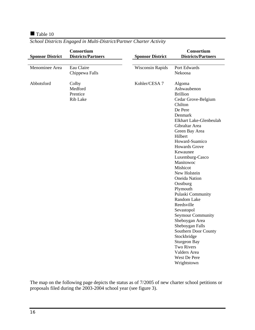#### Table 10

| <b>Sponsor District</b> | Consortium<br><b>Districts/Partners</b>  | <b>Sponsor District</b> | Consortium<br><b>Districts/Partners</b>                                                                                                                                                                                                                                                                                                                                                                                                                                                                                                                                                                         |
|-------------------------|------------------------------------------|-------------------------|-----------------------------------------------------------------------------------------------------------------------------------------------------------------------------------------------------------------------------------------------------------------------------------------------------------------------------------------------------------------------------------------------------------------------------------------------------------------------------------------------------------------------------------------------------------------------------------------------------------------|
|                         |                                          |                         |                                                                                                                                                                                                                                                                                                                                                                                                                                                                                                                                                                                                                 |
| Menominee Area          | Eau Claire<br>Chippewa Falls             | <b>Wisconsin Rapids</b> | Port Edwards<br>Nekoosa                                                                                                                                                                                                                                                                                                                                                                                                                                                                                                                                                                                         |
| Abbotsford              | Colby<br>Medford<br>Prentice<br>Rib Lake | Kohler/CESA 7           | Algoma<br>Ashwaubenon<br><b>Brillion</b><br>Cedar Grove-Belgium<br>Chilton<br>De Pere<br>Denmark<br>Elkhart Lake-Glenbeulah<br>Gibraltar Area<br>Green Bay Area<br>Hilbert<br>Howard-Suamico<br><b>Howards Grove</b><br>Kewaunee<br>Luxemburg-Casco<br>Manitowoc<br>Mishicot<br>New Holstein<br><b>Oneida Nation</b><br>Oostburg<br>Plymouth<br>Pulaski Community<br>Random Lake<br>Reedsville<br>Sevastopol<br><b>Seymour Community</b><br>Sheboygan Area<br>Sheboygan Falls<br>Southern Door County<br>Stockbridge<br><b>Sturgeon Bay</b><br><b>Two Rivers</b><br>Valders Area<br>West De Pere<br>Wrightstown |

*School Districts Engaged in Multi-District/Partner Charter Activity* 

The map on the following page depicts the status as of 7/2005 of new charter school petitions or proposals filed during the 2003-2004 school year (see figure 3).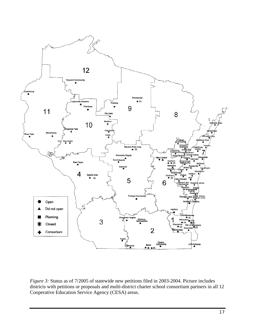

*Figure 3:* Status as of 7/2005 of statewide new petitions filed in 2003-2004. Picture includes districts with petitions or proposals and multi-district charter school consortium partners in all 12 Cooperative Education Service Agency (CESA) areas.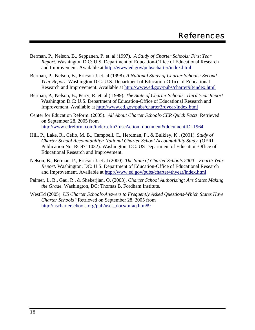- Berman, P., Nelson, B., Seppanen, P. et. al (1997). *A Study of Charter Schools: First Year Report*. Washington D.C: U.S. Department of Education-Office of Educational Research and Improvement. Available at http://www.ed.gov/pubs/charter/index.html
- Berman, P., Nelson, B., Ericson J. et. al (1998). *A National Study of Charter Schools: Second-Year Report.* Washington D.C: U.S. Department of Education-Office of Educational Research and Improvement. Available at http://www.ed.gov/pubs/charter98/index.html
- Berman, P., Nelson, B., Perry, R. et. al ( 1999). *The State of Charter Schools: Third Year Report*  Washington D.C: U.S. Department of Education-Office of Educational Research and Improvement. Available at http://www.ed.gov/pubs/charter3rdyear/index.html
- Center for Education Reform. (2005). *All About Charter Schools-CER Quick Facts.* Retrieved on September 28, 2005 from http://www.edreform.com/index.cfm?fuseAction=document&documentID=1964
- Hill, P., Lake, R., Celio, M. B., Campbell, C., Herdman, P., & Bulkley, K., (2001). *Study of Charter School Accountability: National Charter School Accountability Study.* (OERI Publication No. RC9711032). Washington, DC: US Department of Education-Office of Educational Research and Improvement.
- Nelson, B., Berman, P., Ericson J. et al (2000). *The State of Charter Schools 2000 Fourth Year Report.* Washington, DC: U.S. Department of Education-Office of Educational Research and Improvement. Available at http://www.ed.gov/pubs/charter4thyear/index.html
- Palmer, L. B., Gau, R., & Shekerjian, O. (2003). *Charter School Authorizing: Are States Making the Grade.* Washington, DC: Thomas B. Fordham Institute.
- WestEd (2005). *US Charter Schools-Answers to Frequently Asked Questions-Which States Have Charter Schools?* Retrieved on September 28, 2005 from http://uscharterschools.org/pub/uscs\_docs/o/faq.htm#9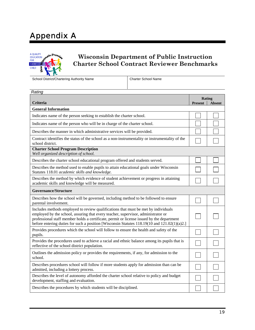# Appendix A



## **Wisconsin Department of Public Instruction Charter School Contract Reviewer Benchmarks**

School District/Chartering Authority Name Charter School Name

| Rating                                                                                                                                                                                                                                                                                                                                                                           |  |                         |
|----------------------------------------------------------------------------------------------------------------------------------------------------------------------------------------------------------------------------------------------------------------------------------------------------------------------------------------------------------------------------------|--|-------------------------|
| Criteria                                                                                                                                                                                                                                                                                                                                                                         |  | Rating<br><b>Absent</b> |
| <b>General Information</b>                                                                                                                                                                                                                                                                                                                                                       |  |                         |
| Indicates name of the person seeking to establish the charter school.                                                                                                                                                                                                                                                                                                            |  |                         |
| Indicates name of the person who will be in charge of the charter school.                                                                                                                                                                                                                                                                                                        |  |                         |
| Describes the manner in which administrative services will be provided.                                                                                                                                                                                                                                                                                                          |  |                         |
| Contract identifies the status of the school as a non-instrumentality or instrumentality of the<br>school district.                                                                                                                                                                                                                                                              |  |                         |
| <b>Charter School Program Description</b><br>Well organized description of school.                                                                                                                                                                                                                                                                                               |  |                         |
| Describes the charter school educational program offered and students served.                                                                                                                                                                                                                                                                                                    |  |                         |
| Describes the method used to enable pupils to attain educational goals under Wisconsin<br>Statutes 118.01 academic skills and knowledge.                                                                                                                                                                                                                                         |  |                         |
| Describes the method by which evidence of student achievement or progress in attaining<br>academic skills and knowledge will be measured.                                                                                                                                                                                                                                        |  |                         |
| <b>Governance/Structure</b>                                                                                                                                                                                                                                                                                                                                                      |  |                         |
| Describes how the school will be governed, including method to be followed to ensure<br>parental involvement.                                                                                                                                                                                                                                                                    |  |                         |
| Includes methods employed to review qualifications that must be met by individuals<br>employed by the school, assuring that every teacher, supervisor, administrator or<br>professional staff member holds a certificate, permit or license issued by the department<br>before entering duties for such a position [Wisconsin Statutes $118.19(10 \text{ and } 121.02(1)(a)2.$ ] |  |                         |
| Provides procedures which the school will follow to ensure the health and safety of the<br>pupils.                                                                                                                                                                                                                                                                               |  |                         |
| Provides the procedures used to achieve a racial and ethnic balance among its pupils that is<br>reflective of the school district population.                                                                                                                                                                                                                                    |  |                         |
| Outlines the admission policy or provides the requirements, if any, for admission to the<br>school.                                                                                                                                                                                                                                                                              |  |                         |
| Describes procedures school will follow if more students apply for admission than can be<br>admitted, including a lottery process.                                                                                                                                                                                                                                               |  |                         |
| Describes the level of autonomy afforded the charter school relative to policy and budget<br>development, staffing and evaluation.                                                                                                                                                                                                                                               |  |                         |
| Describes the procedures by which students will be disciplined.                                                                                                                                                                                                                                                                                                                  |  |                         |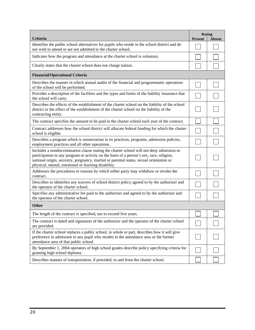| Criteria                                                                                                                                                                                                                                                                                                                                | Rating<br>Present | <b>Absent</b> |
|-----------------------------------------------------------------------------------------------------------------------------------------------------------------------------------------------------------------------------------------------------------------------------------------------------------------------------------------|-------------------|---------------|
| Identifies the public school alternatives for pupils who reside in the school district and do<br>not wish to attend or are not admitted to the charter school.                                                                                                                                                                          |                   |               |
| Indicates how the program and attendance at the charter school is voluntary.                                                                                                                                                                                                                                                            |                   |               |
| Clearly states that the charter school does not charge tuition.                                                                                                                                                                                                                                                                         |                   |               |
| <b>Financial/Operational Criteria</b>                                                                                                                                                                                                                                                                                                   |                   |               |
| Describes the manner in which annual audits of the financial and programmatic operations<br>of the school will be performed.                                                                                                                                                                                                            |                   |               |
| Provides a description of the facilities and the types and limits of the liability insurance that<br>the school will carry.                                                                                                                                                                                                             |                   |               |
| Describes the effects of the establishment of the charter school on the liability of the school<br>district or the effect of the establishment of the charter school on the liability of the<br>contracting entity.                                                                                                                     |                   |               |
| The contract specifies the amount to be paid to the charter school each year of the contract.                                                                                                                                                                                                                                           |                   |               |
| Contract addresses how the school district will allocate federal funding for which the charter<br>school is eligible.                                                                                                                                                                                                                   |                   |               |
| Describes a program which is nonsectarian in its practices, programs, admission policies,<br>employment practices and all other operations.                                                                                                                                                                                             |                   |               |
| Includes a nondiscrimination clause stating the charter school will not deny admission or<br>participation in any program or activity on the basis of a person's sex, race, religion,<br>national origin, ancestry, pregnancy, martial or parental status, sexual orientation or<br>physical, mental, emotional or learning disability. |                   |               |
| Addresses the procedures or reasons by which either party may withdraw or revoke the<br>contract.                                                                                                                                                                                                                                       |                   |               |
| Describes or identifies any waivers of school district policy agreed to by the authorizer and<br>the operator of the charter school.                                                                                                                                                                                                    |                   |               |
| Specifies any administrative fee paid to the authorizer and agreed to by the authorizer and<br>the operator of the charter school.                                                                                                                                                                                                      |                   |               |
| <b>Other</b>                                                                                                                                                                                                                                                                                                                            |                   |               |
| The length of the contract is specified, not to exceed five years.                                                                                                                                                                                                                                                                      |                   |               |
| The contract is dated and signatures of the authorizer and the operator of the charter school<br>are provided.                                                                                                                                                                                                                          |                   |               |
| If the charter school replaces a public school, in whole or part, describes how it will give<br>preference in admission to any pupil who resides in the attendance area or the former<br>attendance area of that public school.                                                                                                         |                   |               |
| By September 1, 2004 operators of high school grades describe policy specifying criteria for<br>granting high school diploma.                                                                                                                                                                                                           |                   |               |
| Describes manner of transportation, if provided, to and from the charter school.                                                                                                                                                                                                                                                        |                   |               |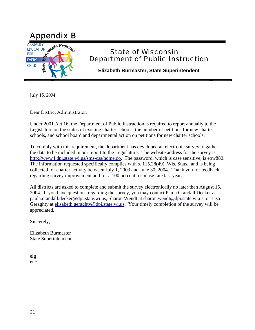

## State of Wisconsin Department of Public Instruction

**Elizabeth Burmaster, State Superintendent** 

July 15, 2004

Dear District Administrator,

Under 2001 Act 16, the Department of Public Instruction is required to report annually to the Legislature on the status of existing charter schools, the number of petitions for new charter schools, and school board and departmental action on petitions for new charter schools.

To comply with this requirement, the department has developed an electronic survey to gather the data to be included in our report to the Legislature. The website address for the survey is http://www4.dpi.state.wi.us/sms-css/home.do. The password, which is case sensitive, is epw880. The information requested specifically complies with s. 115.28(49), Wis. Stats., and is being collected for charter activity between July 1, 2003 and June 30, 2004. Thank you for feedback regarding survey improvement and for a 100 percent response rate last year.

All districts are asked to complete and submit the survey electronically no later than August 15, 2004. If you have questions regarding the survey, you may contact Paula Crandall Decker at paula.crandall.decker@dpi.state.wi.us, Sharon Wendt at sharon.wendt@dpi.state.wi.us, or Lisa Geraghty at elisabeth.geraghty@dpi.state.wi.us. Your timely completion of the survey will be appreciated.

Sincerely,

Elizabeth Burmaster State Superintendent

elg enc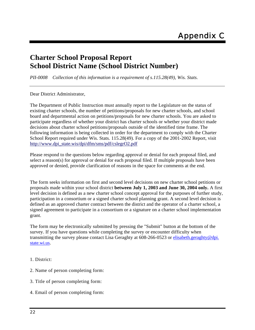## **Charter School Proposal Report School District Name (School District Number)**

*PII-0008 Collection of this information is a requirement of s.115.28(49), Wis. Stats.* 

Dear District Administrator,

The Department of Public Instruction must annually report to the Legislature on the status of existing charter schools, the number of petitions/proposals for new charter schools, and school board and departmental action on petitions/proposals for new charter schools. You are asked to participate regardless of whether your district has charter schools or whether your district made decisions about charter school petitions/proposals outside of the identified time frame. The following information is being collected in order for the department to comply with the Charter School Report required under Wis. Stats. 115.28(49). For a copy of the 2001-2002 Report, visit http://www.dpi\_state.wis/dpi/dfm/sms/pdf/cslegrO2.pdf

Please respond to the questions below regarding approval or denial for each proposal filed, and select a reason(s) for approval or denial for each proposal filed. If multiple proposals have been approved or denied, provide clarification of reasons in the space for comments at the end.

The form seeks information on first and second level decisions on new charter school petitions or proposals made within your school district **between July 1, 2003 and June 30, 2004 only.** A first level decision is defined as a new charter school concept approval for the purposes of further study, participation in a consortium or a signed charter school planning grant. A second level decision is defined as an approved charter contract between the district and the operator of a charter school, a signed agreement to participate in a consortium or a signature on a charter school implementation grant.

The form may be electronically submitted by pressing the "Submit" button at the bottom of the survey. If you have questions while completing the survey or encounter difficulty when transmitting the survey please contact Lisa Geraghty at 608-266-0523 or elisabeth.geraghty@dpi. state.wi.us.

- 1. District:
- 2. Name of person completing form:
- 3. Title of person completing form:
- 4. Email of person completing form: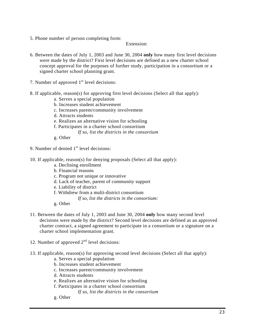5. Phone number of person completing form:

#### Extension:

- 6. Between the dates of July 1, 2003 and June 30, 2004 **only** how many first level decisions were made by the district? First level decisions are defined as a new charter school concept approval for the purposes of further study, participation in a consortium or a signed charter school planning grant.
- 7. Number of approved  $1<sup>st</sup>$  level decisions:
- 8. If applicable, reason(s) for approving first level decisions (Select all that apply):
	- a. Serves a special population
	- b. Increases student achievement
	- c. Increases parent/community involvement
	- d. Attracts students
	- e. Realizes an alternative vision for schooling
	- f. Participates in a charter school consortium
		- *If so, list the districts in the consortium*
	- g. Other
- 9. Number of denied  $1<sup>st</sup>$  level decisions:
- 10. If applicable, reason(s) for denying proposals (Select all that apply):
	- a. Declining enrollment
	- b. Financial reasons
	- c. Program not unique or innovative
	- d. Lack of teacher, parent of community support
	- e. Liability of district
	- f. Withdrew from a multi-district consortium
		- *If so, list the districts in the consortium:*
	- g. Other
- 11. Between the dates of July 1, 2003 and June 30, 2004 **only** how many second level decisions were made by the district? Second level decisions are defined as an approved charter contract, a signed agreement to participate in a consortium or a signature on a charter school implementation grant.
- 12. Number of approved  $2<sup>nd</sup>$  level decisions:
- 13. If applicable, reason(s) for approving second level decisions (Select all that apply):
	- a. Serves a special population
	- b. Increases student achievement
	- c. Increases parent/community involvement
	- d. Attracts students
	- e. Realizes an alternative vision for schooling
	- f. Participates in a charter school consortium
		- *If so, list the districts in the consortium*
	- g. Other